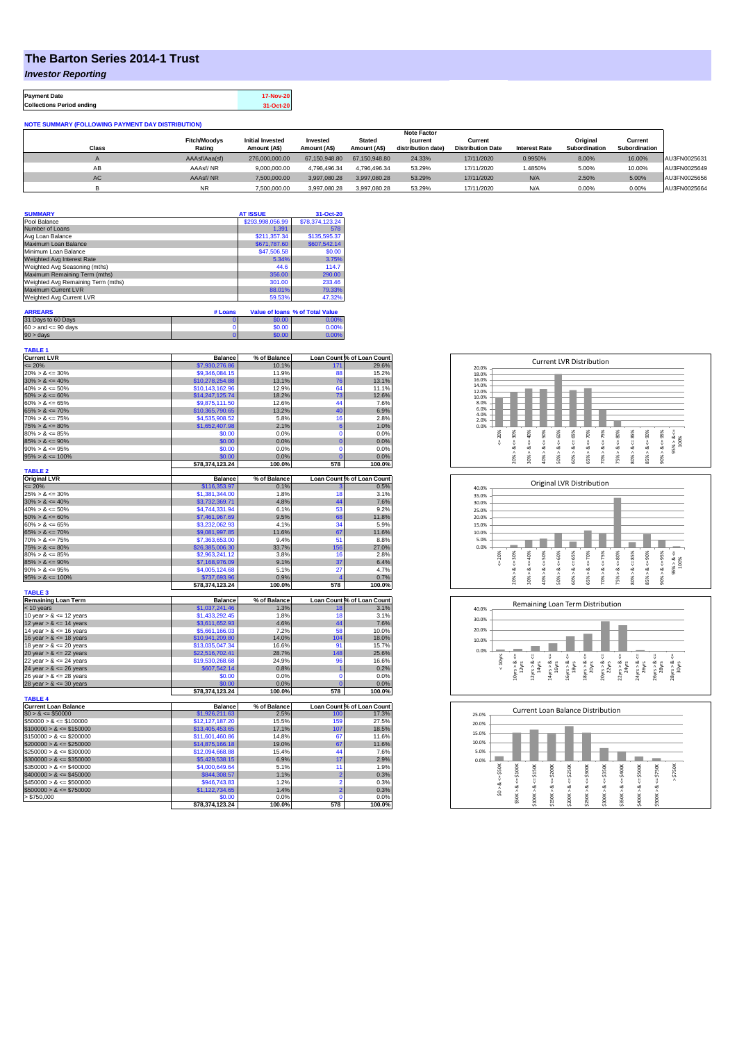## **The Barton Series 2014-1 Trust**

*Investor Reporting*

**Payment Date 17-Nov-20 Collections Period ending 31-Oct-20**

| <b>NOTE SUMMARY (FOLLOWING PAYMENT DAY DISTRIBUTION)</b> |                               |                                         |                          |                               |                                       |                                     |                      |                           |                          |              |
|----------------------------------------------------------|-------------------------------|-----------------------------------------|--------------------------|-------------------------------|---------------------------------------|-------------------------------------|----------------------|---------------------------|--------------------------|--------------|
|                                                          | <b>Note Factor</b>            |                                         |                          |                               |                                       |                                     |                      |                           |                          |              |
| <b>Class</b>                                             | <b>Fitch/Moodys</b><br>Rating | <b>Initial Invested</b><br>Amount (A\$) | Invested<br>Amount (A\$) | <b>Stated</b><br>Amount (A\$) | <b>(current</b><br>distribution date) | Current<br><b>Distribution Date</b> | <b>Interest Rate</b> | Original<br>Subordination | Current<br>Subordination |              |
|                                                          |                               |                                         |                          |                               |                                       |                                     |                      |                           |                          |              |
|                                                          | AAAsf/Aaa(sf)                 | 276,000,000,00                          | 67.150.948.80            | 67.150.948.80                 | 24.33%                                | 17/11/2020                          | 0.9950%              | 8.00%                     | 16.00%                   | AU3FN0025631 |
| AB                                                       | AAAsf/NR                      | 9.000.000.00                            | 4.796.496.34             | 4.796.496.34                  | 53.29%                                | 17/11/2020                          | .4850%               | 5.00%                     | 10.00%                   | AU3FN0025649 |
| AC                                                       | AAAsf/NR                      | 7,500,000.00                            | 3.997.080.28             | 3.997.080.28                  | 53.29%                                | 17/11/2020                          | N/A                  | 2.50%                     | 5.00%                    | AU3FN0025656 |
|                                                          | NR.                           | 7.500.000.00                            | 3.997.080.28             | 3.997.080.28                  | 53.29%                                | 17/11/2020                          | N/A                  | 0.00%                     | 0.00%                    | AU3FN0025664 |

| <b>SUMMARY</b>                     | <b>AT ISSUE</b>  | 31-Oct-20       |
|------------------------------------|------------------|-----------------|
| Pool Balance                       | \$293,998,056.99 | \$78,374,123.24 |
| Number of Loans                    | 1.391            | 578             |
| Avg Loan Balance                   | \$211,357.34     | \$135,595.37    |
| Maximum Loan Balance               | \$671,787.60     | \$607,542.14    |
| Minimum Loan Balance               | \$47,506.58      | \$0.00          |
| Weighted Avg Interest Rate         | 5.34%            | 3.75%           |
| Weighted Avg Seasoning (mths)      | 44.6             | 114.7           |
| Maximum Remaining Term (mths)      | 356.00           | 290.00          |
| Weighted Avg Remaining Term (mths) | 301.00           | 233.46          |
| Maximum Current LVR                | 88.01%           | 79.33%          |
| Weighted Avg Current LVR           | 59.53%           | 47.32%          |

| <b>ARREARS</b>            | # Loans |        | Value of Ioans % of Total Value |
|---------------------------|---------|--------|---------------------------------|
| 31 Days to 60 Days        |         | \$0.00 | 0.00%                           |
| $60 >$ and $\leq 90$ days |         | \$0.00 | 0.00%                           |
| 90 > davs                 |         | \$0.00 | $0.00\%$                        |

| TABLE 1                     |                 |                |                 |                            |
|-----------------------------|-----------------|----------------|-----------------|----------------------------|
| <b>Current LVR</b>          | <b>Balance</b>  | % of Balance   |                 | Loan Count % of Loan Count |
| $= 20%$                     | \$7,930,276.86  | 10.1%          | 17 <sup>°</sup> | 29.6%                      |
| $20\% > 8 \le 30\%$         | \$9,346,084.15  | 11.9%          | 88              | 15.2%                      |
| $30\% > 8 \le 40\%$         | \$10,278,254.88 | 13.1%          | 76              | 13.1%                      |
| $40\% > 8 \le 50\%$         | \$10,143,162.96 | 12.9%          | 64              | 11.1%                      |
| $50\% > 8 \le 60\%$         | \$14,247,125.74 | 18.2%          | 73              | 12.6%                      |
| $60\% > 8 \le 65\%$         | \$9,875,111,50  | 12.6%          | 44              | 7.6%                       |
| $65\% > 8 \le 70\%$         | \$10,365,790.65 | 13.2%          | 40              | 6.9%                       |
| $70\% > 8 \le 75\%$         | \$4,535,908.52  | 5.8%           | 16              | 2.8%                       |
| $75\% > 8 \le 80\%$         | \$1,652,407.98  | 2.1%           | 6               | 1.0%                       |
| $80\% > 8 \le 85\%$         | \$0.00          | 0.0%           | 0               | 0.0%                       |
| $85\% > 8 \le 90\%$         | \$0.00          | 0.0%           | $\overline{0}$  | 0.0%                       |
| $90\% > 8 \le 95\%$         | \$0.00          | 0.0%           | $\overline{0}$  | 0.0%                       |
| $95\% > 8 \le 100\%$        | \$0.00          | 0.0%           | $\overline{0}$  | 0.0%                       |
|                             | \$78,374,123.24 | 100.0%         | 578             | 100.0%                     |
| <b>TABLE 2</b>              |                 |                |                 |                            |
| <b>Original LVR</b>         | <b>Balance</b>  | % of Balance   |                 | Loan Count % of Loan Count |
| $= 20%$                     | \$116,353.97    | 0.1%           |                 | 0.5%                       |
| $25\% > 8 \le 30\%$         | \$1,381,344.00  | 1.8%           | 18              | 3.1%                       |
| $30\% > 8 \le 40\%$         | \$3,732,369.71  | 4.8%           | 44              | 7.6%                       |
| $40\% > 8 \le 50\%$         | \$4,744,331.94  | 6.1%           | 53              | 9.2%                       |
| $50\% > 8 \le 60\%$         | \$7,461,967.69  | 9.5%           | 68              | 11.8%                      |
| $60\% > 8 \le 65\%$         | \$3,232,062.93  | 4.1%           | 34              | 5.9%                       |
| $65\% > 8 \le 70\%$         |                 | 11.6%          | 67              |                            |
|                             | \$9,081,997.85  |                |                 | 11.6%                      |
| $70\% > 8 \le 75\%$         | \$7,363,653.00  | 9.4%           | 51              | 8.8%                       |
| $75\% > 8 \le 80\%$         | \$26,385,006.30 | 33.7%          | 156             | 27.0%                      |
| $80\% > 8 \le 85\%$         | \$2,963,241.12  | 3.8%           | 16              | 2.8%                       |
| $85\% > 8 \le 90\%$         | \$7,168,976.09  | 9.1%           | 37              | 6.4%                       |
| $90\% > 8 \le 95\%$         | \$4,005,124.68  | 5.1%           | 27              | 4.7%                       |
| $95\% > 8 \le 100\%$        | \$737,693.96    | 0.9%           | 4               | 0.7%                       |
|                             |                 |                |                 |                            |
|                             | \$78,374,123.24 | 100.0%         | 578             | 100.0%                     |
| <b>TABLE 3</b>              |                 |                |                 |                            |
| <b>Remaining Loan Term</b>  | <b>Balance</b>  | % of Balance   |                 | Loan Count % of Loan Count |
| $<$ 10 years                | \$1,037,241.46  | 1.3%           | 18              | 3.1%                       |
| 10 year $> 8 \le 12$ years  | \$1,433,292.45  | 1.8%           | 18              | 3.1%                       |
| 12 year $> 8 \le 14$ years  | \$3,611,652.93  | 4.6%           | 44              | 7.6%                       |
| 14 year $> 8 \le 16$ years  | \$5,661,166.03  | 7.2%           | 58              | 10.0%                      |
| 16 year $> 8 \le 18$ years  | \$10,941,209.80 | 14.0%          | 104             | 18.0%                      |
|                             |                 |                | 91              |                            |
| 18 year $> 8 \le 20$ years  | \$13,035,047.34 | 16.6%<br>28.7% | 148             | 15.7%<br>25.6%             |
| 20 year $> 8 \le 22$ years  | \$22,516,702.41 |                |                 |                            |
| 22 year $> 8 \le 24$ years  | \$19,530,268.68 | 24.9%          | 96              | 16.6%                      |
| 24 year $> 8 \le 26$ years  | \$607,542.14    | 0.8%           | 1               | 0.2%                       |
| 26 year $> 8 \le 28$ years  | \$0.00          | 0.0%           | 0               | 0.0%                       |
| 28 year $> 8 \le 30$ years  | \$0.00          | 0.0%           | $\mathbf 0$     | 0.0%                       |
|                             | \$78,374,123.24 | 100.0%         | 578             | 100.0%                     |
| <b>TABLE 4</b>              |                 |                |                 |                            |
| <b>Current Loan Balance</b> | <b>Balance</b>  | % of Balance   |                 | Loan Count % of Loan Count |
| $$0 > 8 \le $50000$         | \$1,926,211.63  | 2.5%           | 100             | 17.3%                      |
| $$50000 > 8 \le $100000$    | \$12,127,187.20 | 15.5%          | 159             | 27.5%                      |
| $$100000 > 8 \le $150000$   | \$13,405,453.65 | 17.1%          | 107             | 18.5%                      |
| $$150000 > 8 \le $200000$   | \$11,601,460.86 | 14.8%          | 67              | 11.6%                      |
| $$200000 > 8 \leq $250000$  | \$14,875,166.18 | 19.0%          | 67              | 11.6%                      |
| $$250000 > 8 \le $300000$   | \$12,094,668.88 | 15.4%          | 44              | 7.6%                       |
| $$300000 > 8 \leq $350000$  | \$5,429,538.15  | 6.9%           | 17              | 2.9%                       |
| $$350000 > 8 \le $400000$   | \$4,000,649.64  | 5.1%           | 11              | 1.9%                       |
| $$400000 > 8 \leq $450000$  | \$844,308.57    | 1.1%           | $\overline{2}$  | 0.3%                       |
| $$450000 > 8 \leq $500000$  | \$946,743.83    | 1.2%           | $\overline{2}$  | 0.3%                       |
| $$500000 > 8 \le $750000$   | \$1,122,734.65  | 1.4%           | $\overline{2}$  | 0.3%                       |
| > \$750,000                 | \$0.00          | 0.0%           | $\Omega$        | 0.0%                       |







| 25.0% |            |         |        |         |        |         | Current Loan Balance Distribution |         |        |         |          |  |
|-------|------------|---------|--------|---------|--------|---------|-----------------------------------|---------|--------|---------|----------|--|
| 20.0% |            |         |        |         |        |         |                                   |         |        |         |          |  |
| 15.0% |            |         |        |         |        |         |                                   |         |        |         |          |  |
| 10.0% |            |         |        |         |        |         |                                   |         |        |         |          |  |
| 5.0%  |            |         |        |         |        |         |                                   |         |        |         |          |  |
| 0.0%  |            |         |        |         |        |         |                                   |         |        |         |          |  |
|       | \$50K      | \$100K  | \$150K | \$200K  | \$250K | \$300K  | \$350K                            | \$400K  | \$500K | \$750K  | \$750K   |  |
|       |            |         |        |         |        |         |                                   |         |        |         | $\wedge$ |  |
|       | ∞          | ₹<br>જં | œ      | IJ<br>ಹ | œ      | ₩<br>ಹ  | œ                                 | œ       | œ      | œ       |          |  |
|       | $\hat{50}$ |         | ٨      |         | ٨      |         | ٨                                 |         | ۸      |         |          |  |
|       |            | \$50K>  | \$100K | \$150K> | \$200K | \$250K> | \$300K                            | \$350K> | \$400K | \$500K> |          |  |